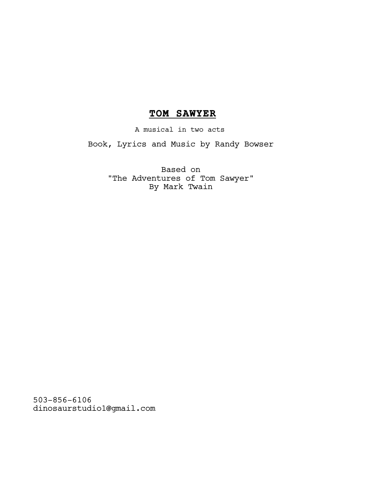# **TOM SAWYER**

A musical in two acts

Book, Lyrics and Music by Randy Bowser

 Based on "The Adventures of Tom Sawyer" By Mark Twain

503-856-6106 dinosaurstudio1@gmail.com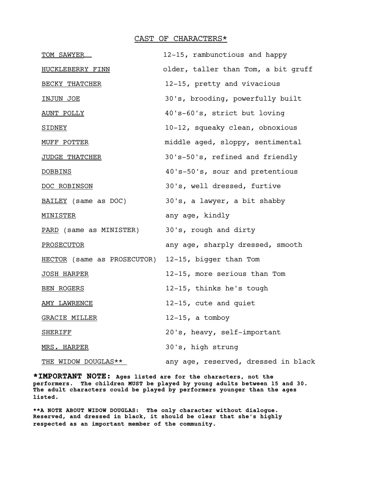#### CAST OF CHARACTERS\*

| TOM SAWYER                                         | 12-15, rambunctious and happy       |
|----------------------------------------------------|-------------------------------------|
| HUCKLEBERRY FINN                                   | older, taller than Tom, a bit gruff |
| BECKY THATCHER                                     | 12-15, pretty and vivacious         |
| <u>INJUN JOE</u>                                   | 30's, brooding, powerfully built    |
| <u>AUNT POLLY</u>                                  | 40's-60's, strict but loving        |
| <b>SIDNEY</b>                                      | 10-12, squeaky clean, obnoxious     |
| MUFF POTTER                                        | middle aged, sloppy, sentimental    |
| JUDGE THATCHER                                     | 30's-50's, refined and friendly     |
| <b>DOBBINS</b>                                     | 40's-50's, sour and pretentious     |
| DOC ROBINSON                                       | 30's, well dressed, furtive         |
| BAILEY (same as DOC)                               | 30's, a lawyer, a bit shabby        |
| <u>MINISTER</u>                                    | any age, kindly                     |
| <u>PARD</u> (same as MINISTER)                     | 30's, rough and dirty               |
| <b>PROSECUTOR</b>                                  | any age, sharply dressed, smooth    |
| HECTOR (same as PROSECUTOR) 12-15, bigger than Tom |                                     |
| <u>JOSH HARPER</u>                                 | 12-15, more serious than Tom        |
| BEN ROGERS                                         | 12-15, thinks he's tough            |
| <b>AMY LAWRENCE</b>                                | 12-15, cute and quiet               |
| <b>GRACIE MILLER</b>                               | $12-15$ , a tomboy                  |
| <b>SHERIFF</b>                                     | 20's, heavy, self-important         |
| MRS. HARPER                                        | 30's, high strung                   |
| THE WIDOW DOUGLAS**                                | any age, reserved, dressed in black |

**\*IMPORTANT NOTE: Ages listed are for the characters, not the performers. The children MUST be played by young adults between 15 and 30. The adult characters could be played by performers younger than the ages listed.**

**\*\*A NOTE ABOUT WIDOW DOUGLAS: The only character without dialogue. Reserved, and dressed in black, it should be clear that she's highly respected as an important member of the community.**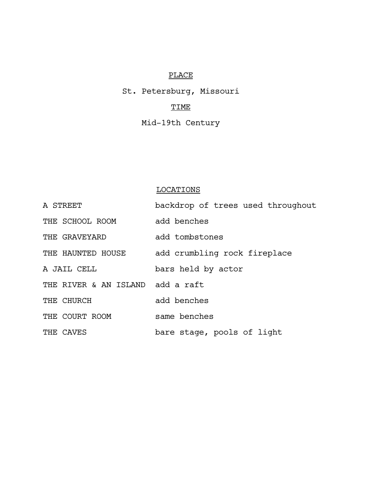## PLACE

St. Petersburg, Missouri

### TIME

Mid-19th Century

### LOCATIONS

| A STREET                         | backdrop of trees used throughout |
|----------------------------------|-----------------------------------|
| THE SCHOOL ROOM                  | add benches                       |
| THE GRAVEYARD                    | add tombstones                    |
| THE HAUNTED HOUSE                | add crumbling rock fireplace      |
| A JAIL CELL                      | bars held by actor                |
| THE RIVER & AN ISLAND add a raft |                                   |
| THE CHURCH                       | add benches                       |
| THE COURT ROOM                   | same benches                      |
| THE CAVES                        | bare stage, pools of light        |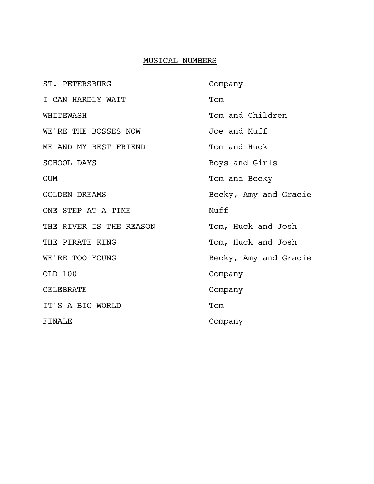### MUSICAL NUMBERS

| ST. PETERSBURG          | Company               |
|-------------------------|-----------------------|
| I CAN HARDLY WAIT       | Tom                   |
| WHITEWASH               | Tom and Children      |
| WE'RE THE BOSSES NOW    | Joe and Muff          |
| ME AND MY BEST FRIEND   | Tom and Huck          |
| <b>SCHOOL DAYS</b>      | Boys and Girls        |
| GUM                     | Tom and Becky         |
| <b>GOLDEN DREAMS</b>    | Becky, Amy and Gracie |
| ONE STEP AT A TIME      | Muff                  |
| THE RIVER IS THE REASON | Tom, Huck and Josh    |
| THE PIRATE KING         | Tom, Huck and Josh    |
| WE'RE TOO YOUNG         | Becky, Amy and Gracie |
| OLD 100                 | Company               |
| <b>CELEBRATE</b>        | Company               |
| IT'S A BIG WORLD        | Tom                   |
| <b>FINALE</b>           | Company               |
|                         |                       |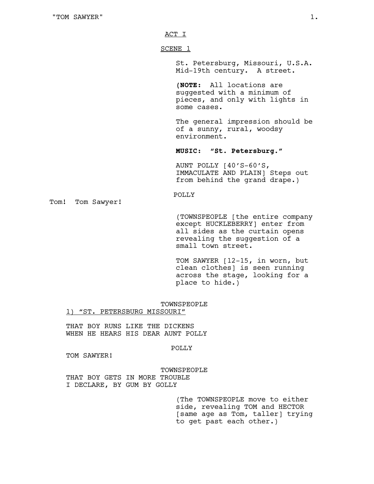ACT I

SCENE 1

St. Petersburg, Missouri, U.S.A. Mid-19th century. A street.

**(NOTE:** All locations are suggested with a minimum of pieces, and only with lights in some cases.

The general impression should be of a sunny, rural, woodsy environment.

**MUSIC: "St. Petersburg."**

AUNT POLLY [40'S-60'S, IMMACULATE AND PLAIN] Steps out from behind the grand drape.)

#### POLLY

Tom! Tom Sawyer!

(TOWNSPEOPLE [the entire company except HUCKLEBERRY] enter from all sides as the curtain opens revealing the suggestion of a small town street.

TOM SAWYER [12-15, in worn, but clean clothes] is seen running across the stage, looking for a place to hide.)

TOWNSPEOPLE

1) "ST. PETERSBURG MISSOURI"

THAT BOY RUNS LIKE THE DICKENS WHEN HE HEARS HIS DEAR AUNT POLLY

POLLY

TOM SAWYER!

#### TOWNSPEOPLE

THAT BOY GETS IN MORE TROUBLE I DECLARE, BY GUM BY GOLLY

> (The TOWNSPEOPLE move to either side, revealing TOM and HECTOR [same age as Tom, taller] trying to get past each other.)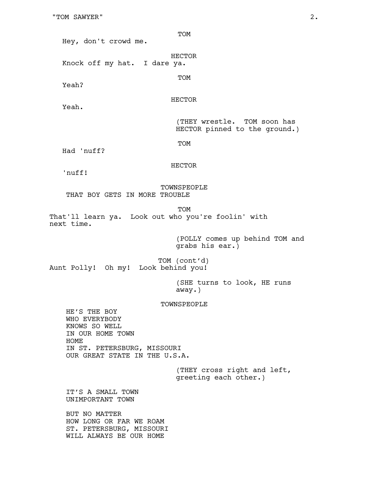"TOM SAWYER" 2.

Hey, don't crowd me.

HECTOR Knock off my hat. I dare ya.

Yeah?

HECTOR

TOM

TOM

Yeah.

(THEY wrestle. TOM soon has HECTOR pinned to the ground.)

TOM

Had 'nuff?

HECTOR

'nuff!

TOWNSPEOPLE THAT BOY GETS IN MORE TROUBLE

TOM That'll learn ya. Look out who you're foolin' with next time.

> (POLLY comes up behind TOM and grabs his ear.)

TOM (cont'd) Aunt Polly! Oh my! Look behind you!

> (SHE turns to look, HE runs away.)

#### TOWNSPEOPLE

HE'S THE BOY WHO EVERYBODY KNOWS SO WELL IN OUR HOME TOWN HOME IN ST. PETERSBURG, MISSOURI OUR GREAT STATE IN THE U.S.A.

> (THEY cross right and left, greeting each other.)

IT'S A SMALL TOWN UNIMPORTANT TOWN

BUT NO MATTER HOW LONG OR FAR WE ROAM ST. PETERSBURG, MISSOURI WILL ALWAYS BE OUR HOME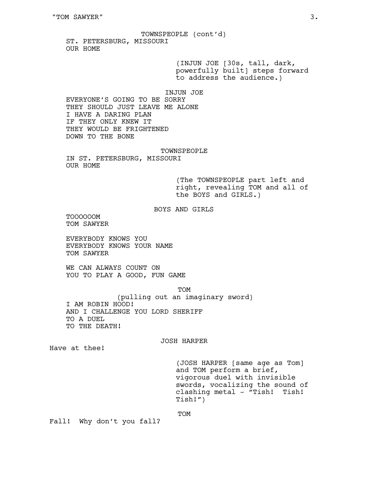TOWNSPEOPLE (cont'd) ST. PETERSBURG, MISSOURI OUR HOME

> (INJUN JOE [30s, tall, dark, powerfully built] steps forward to address the audience.)

INJUN JOE

EVERYONE'S GOING TO BE SORRY THEY SHOULD JUST LEAVE ME ALONE I HAVE A DARING PLAN IF THEY ONLY KNEW IT THEY WOULD BE FRIGHTENED DOWN TO THE BONE

#### TOWNSPEOPLE

IN ST. PETERSBURG, MISSOURI OUR HOME

> (The TOWNSPEOPLE part left and right, revealing TOM and all of the BOYS and GIRLS.)

BOYS AND GIRLS

TOOOOOOM TOM SAWYER

EVERYBODY KNOWS YOU EVERYBODY KNOWS YOUR NAME TOM SAWYER

WE CAN ALWAYS COUNT ON YOU TO PLAY A GOOD, FUN GAME

TOM (pulling out an imaginary sword) I AM ROBIN HOOD! AND I CHALLENGE YOU LORD SHERIFF TO A DUEL TO THE DEATH!

#### JOSH HARPER

Have at thee!

(JOSH HARPER [same age as Tom] and TOM perform a brief, vigorous duel with invisible swords, vocalizing the sound of clashing metal - "Tish! Tish! Tish!")

Fall! Why don't you fall?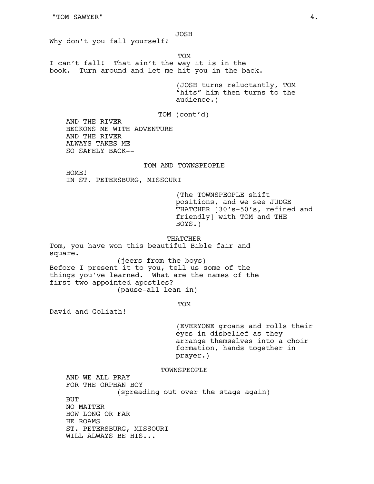JOSH Why don't you fall yourself? TOM I can't fall! That ain't the way it is in the book. Turn around and let me hit you in the back. (JOSH turns reluctantly, TOM "hits" him then turns to the audience.) TOM (cont'd) AND THE RIVER BECKONS ME WITH ADVENTURE AND THE RIVER ALWAYS TAKES ME SO SAFELY BACK-- TOM AND TOWNSPEOPLE HOME! IN ST. PETERSBURG, MISSOURI (The TOWNSPEOPLE shift positions, and we see JUDGE THATCHER [30's-50's, refined and friendly] with TOM and THE BOYS.) THATCHER Tom, you have won this beautiful Bible fair and square. (jeers from the boys) Before I present it to you, tell us some of the things you've learned. What are the names of the first two appointed apostles? (pause-all lean in) TOM David and Goliath! (EVERYONE groans and rolls their eyes in disbelief as they arrange themselves into a choir formation, hands together in prayer.)

TOWNSPEOPLE

AND WE ALL PRAY FOR THE ORPHAN BOY (spreading out over the stage again) BUT NO MATTER HOW LONG OR FAR HE ROAMS ST. PETERSBURG, MISSOURI WILL ALWAYS BE HIS...